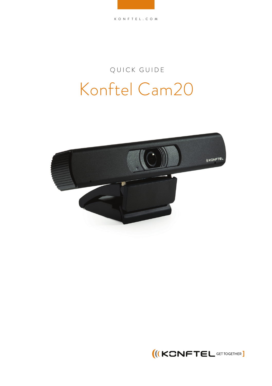## QUICK GUIDE Konftel Cam20



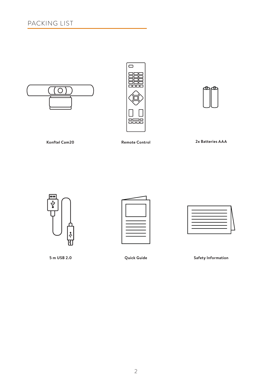





**Konftel Cam20 Remote Control**

**2x Batteries AAA**



**5 m USB 2.0**



**Quick Guide Safety Information**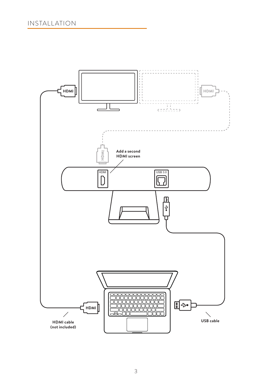